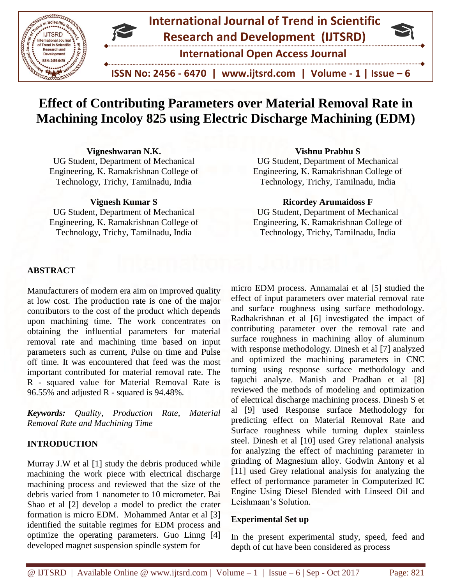

# **Effect of Contributing Parameters over Material Removal Rate in Machining Incoloy 825 using Electric Discharge Machining (EDM)**

## **Vigneshwaran N.K.**

UG Student, Department of Mechanical Engineering, K. Ramakrishnan College of Technology, Trichy, Tamilnadu, India

#### **Vignesh Kumar S**

UG Student, Department of Mechanical Engineering, K. Ramakrishnan College of Technology, Trichy, Tamilnadu, India

# **Vishnu Prabhu S**

UG Student, Department of Mechanical Engineering, K. Ramakrishnan College of Technology, Trichy, Tamilnadu, India

#### **Ricordey Arumaidoss F**

UG Student, Department of Mechanical Engineering, K. Ramakrishnan College of Technology, Trichy, Tamilnadu, India

## **ABSTRACT**

Manufacturers of modern era aim on improved quality at low cost. The production rate is one of the major contributors to the cost of the product which depends upon machining time. The work concentrates on obtaining the influential parameters for material removal rate and machining time based on input parameters such as current, Pulse on time and Pulse off time. It was encountered that feed was the most important contributed for material removal rate. The R - squared value for Material Removal Rate is 96.55% and adjusted R - squared is 94.48%.

*Keywords: Quality, Production Rate, Material Removal Rate and Machining Time*

# **INTRODUCTION**

Murray J.W et al [1] study the debris produced while machining the work piece with electrical discharge machining process and reviewed that the size of the debris varied from 1 nanometer to 10 micrometer. Bai Shao et al [2] develop a model to predict the crater formation is micro EDM. Mohammed Antar et al [3] identified the suitable regimes for EDM process and optimize the operating parameters. Guo Linng [4] developed magnet suspension spindle system for

micro EDM process. Annamalai et al [5] studied the effect of input parameters over material removal rate and surface roughness using surface methodology. Radhakrishnan et al [6] investigated the impact of contributing parameter over the removal rate and surface roughness in machining alloy of aluminum with response methodology. Dinesh et al [7] analyzed and optimized the machining parameters in CNC turning using response surface methodology and taguchi analyze. Manish and Pradhan et al [8] reviewed the methods of modeling and optimization of electrical discharge machining process. Dinesh S et al [9] used Response surface Methodology for predicting effect on Material Removal Rate and Surface roughness while turning duplex stainless steel. Dinesh et al [10] used Grey relational analysis for analyzing the effect of machining parameter in grinding of Magnesium alloy. Godwin Antony et al [11] used Grey relational analysis for analyzing the effect of performance parameter in [Computerized IC](http://www.kdm.p.lodz.pl/articles/2017/21_2_2.pdf)  [Engine Using Diesel Blended with Linseed Oil and](http://www.kdm.p.lodz.pl/articles/2017/21_2_2.pdf)  [Leishmaan's Solution.](http://www.kdm.p.lodz.pl/articles/2017/21_2_2.pdf)

#### **Experimental Set up**

In the present experimental study, speed, feed and depth of cut have been considered as process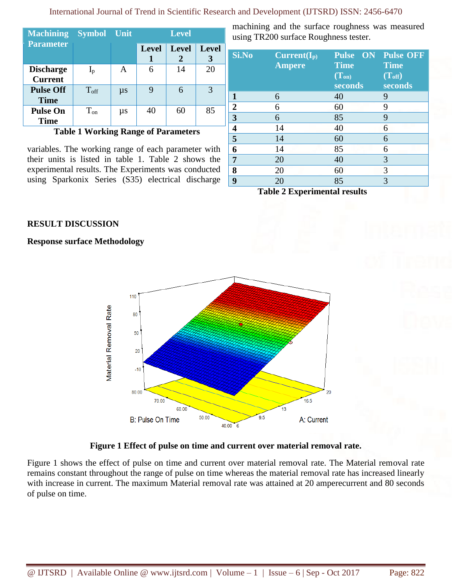| <b>Machining Symbol Unit</b>       |               |         | <b>Level</b> |                   |                   |
|------------------------------------|---------------|---------|--------------|-------------------|-------------------|
| <b>Parameter</b>                   |               |         | <b>Level</b> | <b>Level</b><br>2 | <b>Level</b><br>3 |
| <b>Discharge</b><br><b>Current</b> | $I_p$         | A       |              | 14                | 20                |
| <b>Pulse Off</b><br><b>Time</b>    | $T_{\rm off}$ | $\mu s$ |              | 6                 | 3                 |
| <b>Pulse On</b><br><b>Time</b>     | $T_{on}$      | $\mu s$ | 40           | 60                | 85                |

**Table 1 Working Range of Parameters**

variables. The working range of each parameter with their units is listed in table 1. Table 2 shows the experimental results. The Experiments was conducted using Sparkonix Series (S35) electrical discharge machining and the surface roughness was measured using TR200 surface Roughness tester.

| Si.No                                | $Current(I_p)$<br><b>Ampere</b> | <b>Pulse ON Pulse OFF</b><br><b>Time</b><br>$(T_{on})$<br>seconds | <b>Time</b><br>(T <sub>off</sub> )<br>seconds |
|--------------------------------------|---------------------------------|-------------------------------------------------------------------|-----------------------------------------------|
| 1                                    | 6                               | 40                                                                | 9                                             |
| $\overline{2}$                       | 6                               | 60                                                                | 9                                             |
| $\overline{\mathbf{3}}$              | 6                               | 85                                                                | 9                                             |
| 4                                    | 14                              | 40                                                                | 6                                             |
| $\overline{\overline{\overline{5}}}$ | 14                              | 60                                                                | 6                                             |
| 6                                    | 14                              | 85                                                                | 6                                             |
| 7                                    | 20                              | 40                                                                | 3                                             |
| 8                                    | 20                              | 60                                                                | 3                                             |
| 9                                    | 20                              | 85                                                                | 3                                             |

**Table 2 Experimental results**

# **RESULT DISCUSSION**

**Response surface Methodology**



# **Figure 1 Effect of pulse on time and current over material removal rate.**

Figure 1 shows the effect of pulse on time and current over material removal rate. The Material removal rate remains constant throughout the range of pulse on time whereas the material removal rate has increased linearly with increase in current. The maximum Material removal rate was attained at 20 amperecurrent and 80 seconds of pulse on time.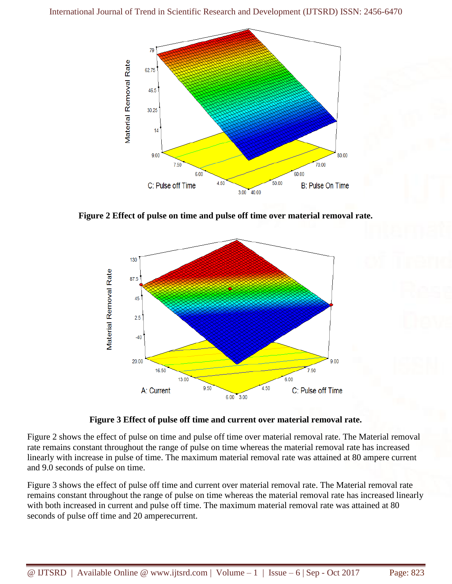

**Figure 2 Effect of pulse on time and pulse off time over material removal rate.**



#### **Figure 3 Effect of pulse off time and current over material removal rate.**

Figure 2 shows the effect of pulse on time and pulse off time over material removal rate. The Material removal rate remains constant throughout the range of pulse on time whereas the material removal rate has increased linearly with increase in pulse of time. The maximum material removal rate was attained at 80 ampere current and 9.0 seconds of pulse on time.

Figure 3 shows the effect of pulse off time and current over material removal rate. The Material removal rate remains constant throughout the range of pulse on time whereas the material removal rate has increased linearly with both increased in current and pulse off time. The maximum material removal rate was attained at 80 seconds of pulse off time and 20 amperecurrent.